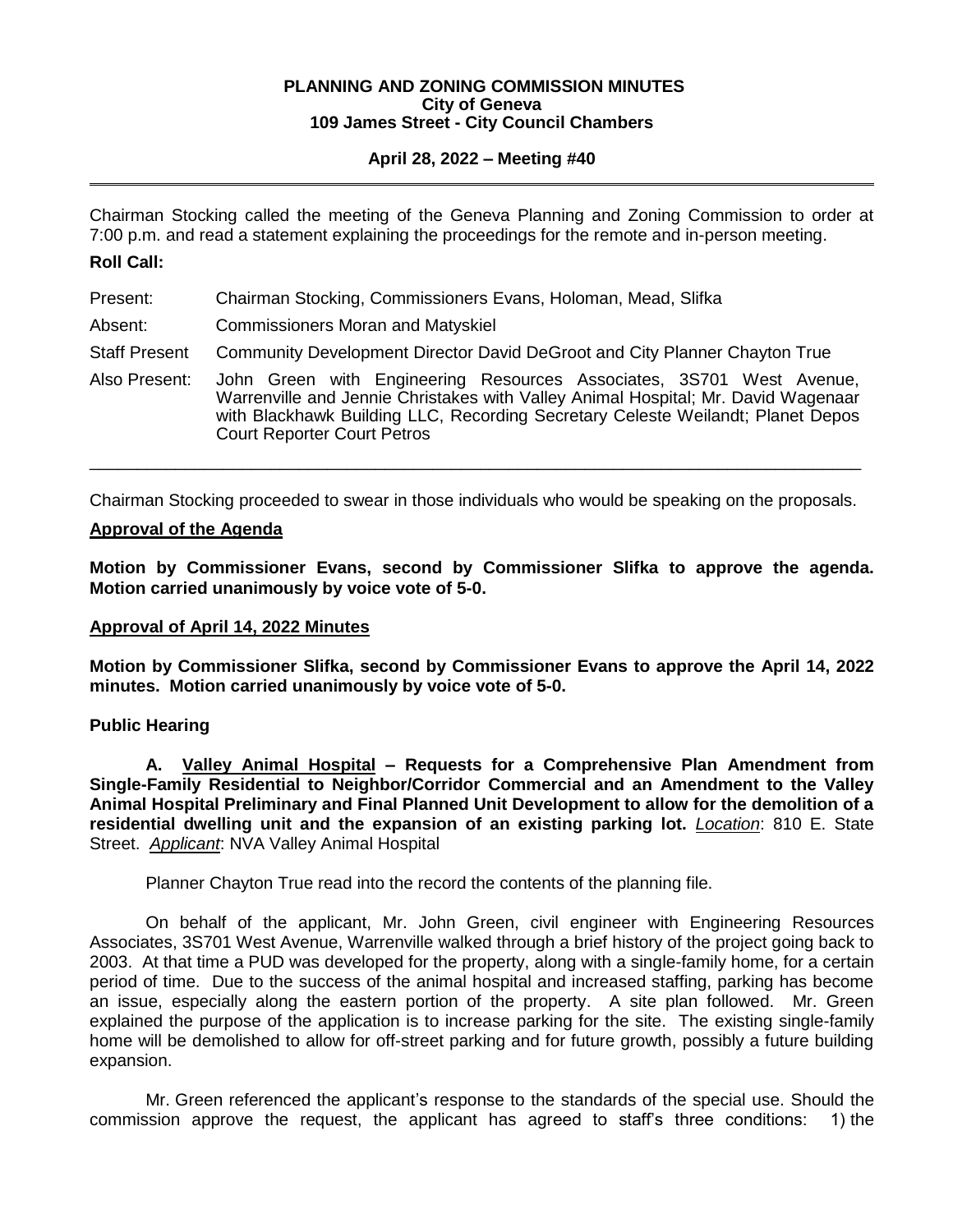### **PLANNING AND ZONING COMMISSION MINUTES City of Geneva 109 James Street - City Council Chambers**

## **April 28, 2022 – Meeting #40**

Chairman Stocking called the meeting of the Geneva Planning and Zoning Commission to order at 7:00 p.m. and read a statement explaining the proceedings for the remote and in-person meeting.

## **Roll Call:**

- Present: Chairman Stocking, Commissioners Evans, Holoman, Mead, Slifka
- Absent: Commissioners Moran and Matyskiel
- Staff Present Community Development Director David DeGroot and City Planner Chayton True
- Also Present: John Green with Engineering Resources Associates, 3S701 West Avenue, Warrenville and Jennie Christakes with Valley Animal Hospital; Mr. David Wagenaar with Blackhawk Building LLC, Recording Secretary Celeste Weilandt; Planet Depos Court Reporter Court Petros

Chairman Stocking proceeded to swear in those individuals who would be speaking on the proposals.

\_\_\_\_\_\_\_\_\_\_\_\_\_\_\_\_\_\_\_\_\_\_\_\_\_\_\_\_\_\_\_\_\_\_\_\_\_\_\_\_\_\_\_\_\_\_\_\_\_\_\_\_\_\_\_\_\_\_\_\_\_\_\_\_\_\_\_\_\_\_\_\_\_\_\_\_\_\_\_\_\_

## **Approval of the Agenda**

**Motion by Commissioner Evans, second by Commissioner Slifka to approve the agenda. Motion carried unanimously by voice vote of 5-0.**

## **Approval of April 14, 2022 Minutes**

**Motion by Commissioner Slifka, second by Commissioner Evans to approve the April 14, 2022 minutes. Motion carried unanimously by voice vote of 5-0.** 

## **Public Hearing**

**A. Valley Animal Hospital – Requests for a Comprehensive Plan Amendment from Single-Family Residential to Neighbor/Corridor Commercial and an Amendment to the Valley Animal Hospital Preliminary and Final Planned Unit Development to allow for the demolition of a residential dwelling unit and the expansion of an existing parking lot.** *Location*: 810 E. State Street. *Applicant*: NVA Valley Animal Hospital

Planner Chayton True read into the record the contents of the planning file.

On behalf of the applicant, Mr. John Green, civil engineer with Engineering Resources Associates, 3S701 West Avenue, Warrenville walked through a brief history of the project going back to 2003. At that time a PUD was developed for the property, along with a single-family home, for a certain period of time. Due to the success of the animal hospital and increased staffing, parking has become an issue, especially along the eastern portion of the property. A site plan followed. Mr. Green explained the purpose of the application is to increase parking for the site. The existing single-family home will be demolished to allow for off-street parking and for future growth, possibly a future building expansion.

Mr. Green referenced the applicant's response to the standards of the special use. Should the commission approve the request, the applicant has agreed to staff's three conditions: 1) the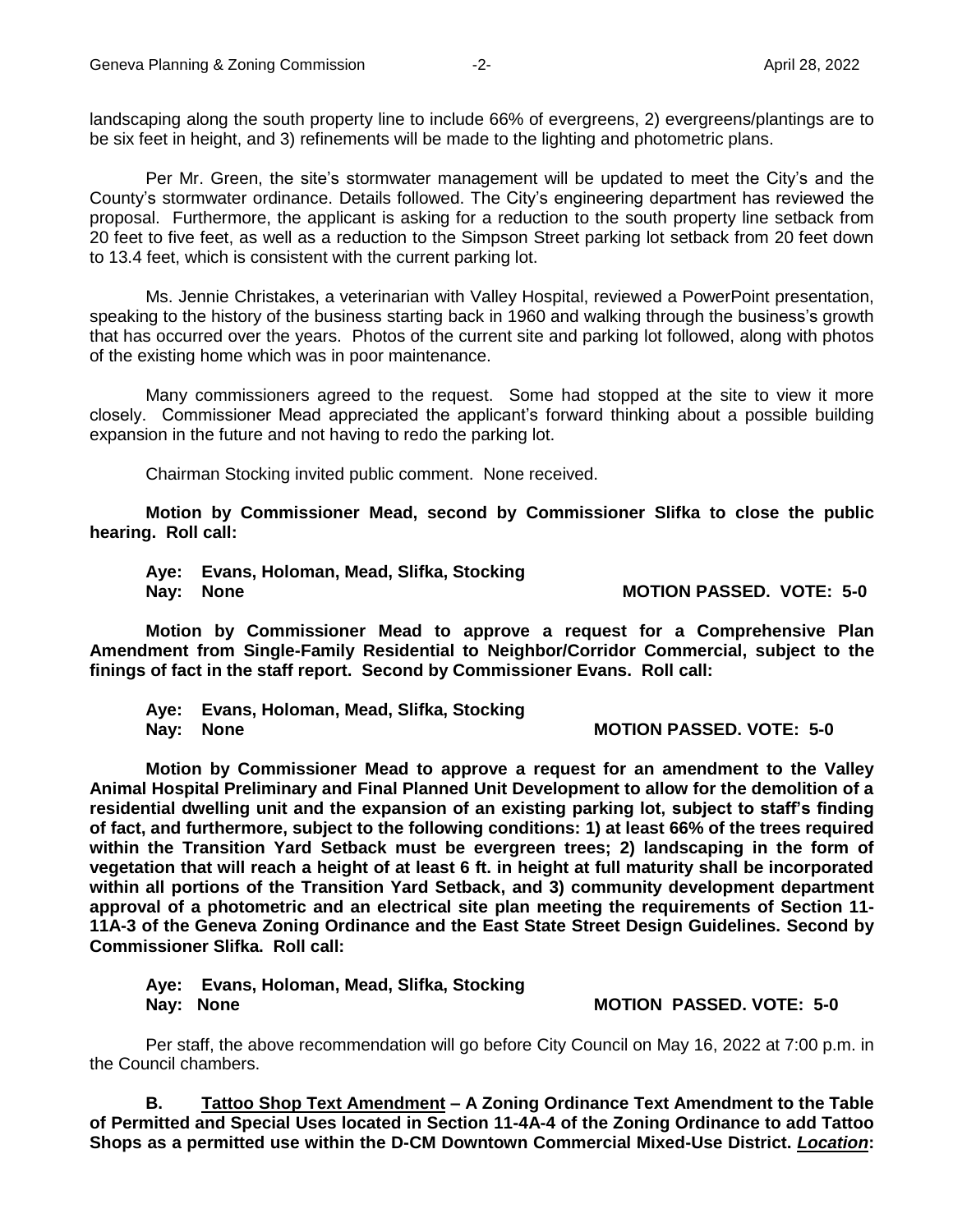landscaping along the south property line to include 66% of evergreens, 2) evergreens/plantings are to be six feet in height, and 3) refinements will be made to the lighting and photometric plans.

Per Mr. Green, the site's stormwater management will be updated to meet the City's and the County's stormwater ordinance. Details followed. The City's engineering department has reviewed the proposal. Furthermore, the applicant is asking for a reduction to the south property line setback from 20 feet to five feet, as well as a reduction to the Simpson Street parking lot setback from 20 feet down to 13.4 feet, which is consistent with the current parking lot.

Ms. Jennie Christakes, a veterinarian with Valley Hospital, reviewed a PowerPoint presentation, speaking to the history of the business starting back in 1960 and walking through the business's growth that has occurred over the years. Photos of the current site and parking lot followed, along with photos of the existing home which was in poor maintenance.

Many commissioners agreed to the request. Some had stopped at the site to view it more closely. Commissioner Mead appreciated the applicant's forward thinking about a possible building expansion in the future and not having to redo the parking lot.

Chairman Stocking invited public comment. None received.

**Motion by Commissioner Mead, second by Commissioner Slifka to close the public hearing. Roll call:** 

**Aye: Evans, Holoman, Mead, Slifka, Stocking** Nay: None **MOTION PASSED.** VOTE: 5-0

**Motion by Commissioner Mead to approve a request for a Comprehensive Plan Amendment from Single-Family Residential to Neighbor/Corridor Commercial, subject to the finings of fact in the staff report. Second by Commissioner Evans. Roll call:** 

**Aye: Evans, Holoman, Mead, Slifka, Stocking Nay: None MOTION PASSED. VOTE: 5-0** 

**Motion by Commissioner Mead to approve a request for an amendment to the Valley Animal Hospital Preliminary and Final Planned Unit Development to allow for the demolition of a residential dwelling unit and the expansion of an existing parking lot, subject to staff's finding of fact, and furthermore, subject to the following conditions: 1) at least 66% of the trees required within the Transition Yard Setback must be evergreen trees; 2) landscaping in the form of vegetation that will reach a height of at least 6 ft. in height at full maturity shall be incorporated within all portions of the Transition Yard Setback, and 3) community development department approval of a photometric and an electrical site plan meeting the requirements of Section 11- 11A-3 of the Geneva Zoning Ordinance and the East State Street Design Guidelines. Second by Commissioner Slifka. Roll call:** 

**Aye: Evans, Holoman, Mead, Slifka, Stocking Nay: None MOTION PASSED. VOTE: 5-0** 

Per staff, the above recommendation will go before City Council on May 16, 2022 at 7:00 p.m. in the Council chambers.

**B. Tattoo Shop Text Amendment – A Zoning Ordinance Text Amendment to the Table of Permitted and Special Uses located in Section 11-4A-4 of the Zoning Ordinance to add Tattoo Shops as a permitted use within the D-CM Downtown Commercial Mixed-Use District.** *Location***:**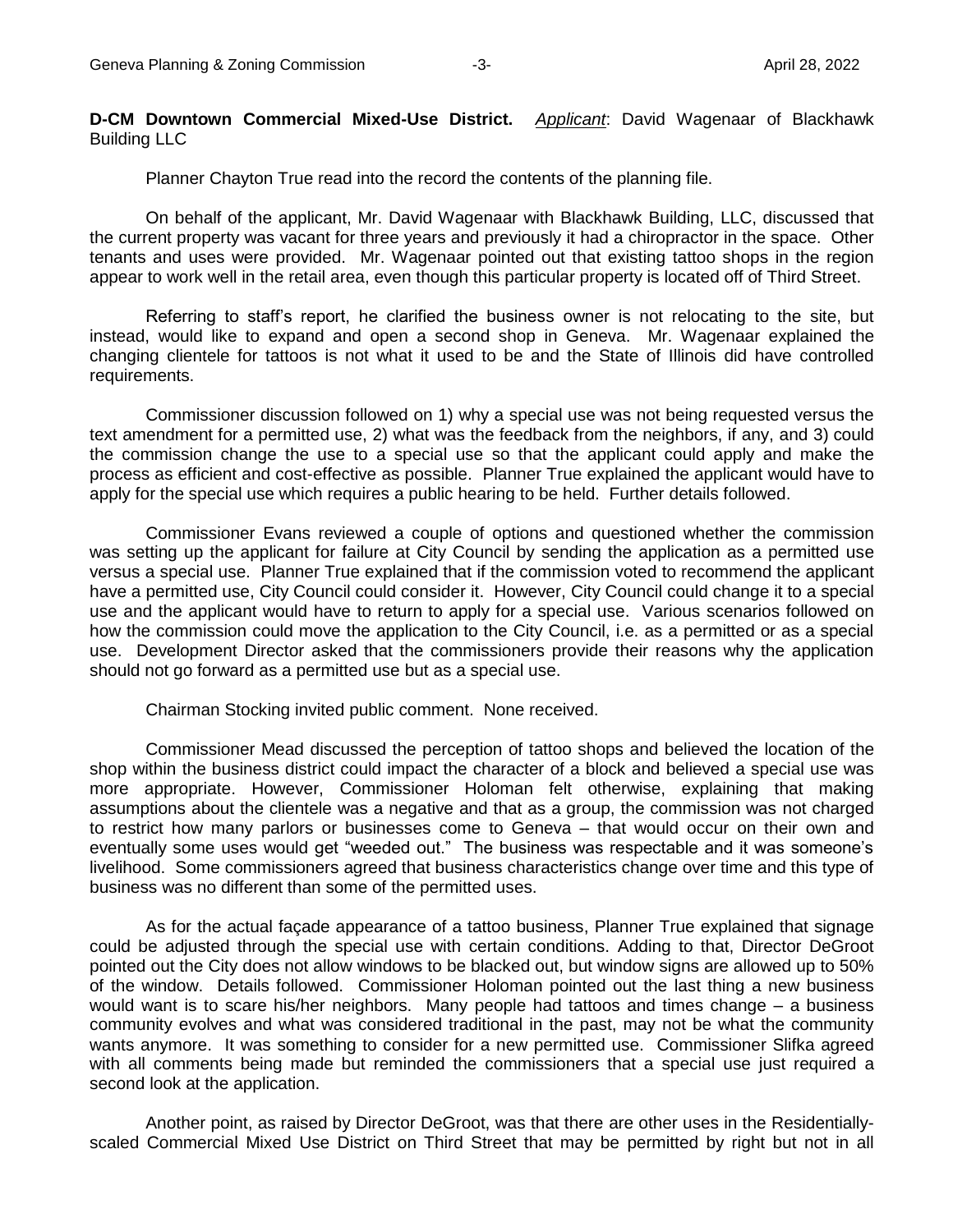**D-CM Downtown Commercial Mixed-Use District.** *Applicant*: David Wagenaar of Blackhawk Building LLC

Planner Chayton True read into the record the contents of the planning file.

On behalf of the applicant, Mr. David Wagenaar with Blackhawk Building, LLC, discussed that the current property was vacant for three years and previously it had a chiropractor in the space. Other tenants and uses were provided. Mr. Wagenaar pointed out that existing tattoo shops in the region appear to work well in the retail area, even though this particular property is located off of Third Street.

Referring to staff's report, he clarified the business owner is not relocating to the site, but instead, would like to expand and open a second shop in Geneva. Mr. Wagenaar explained the changing clientele for tattoos is not what it used to be and the State of Illinois did have controlled requirements.

Commissioner discussion followed on 1) why a special use was not being requested versus the text amendment for a permitted use, 2) what was the feedback from the neighbors, if any, and 3) could the commission change the use to a special use so that the applicant could apply and make the process as efficient and cost-effective as possible. Planner True explained the applicant would have to apply for the special use which requires a public hearing to be held. Further details followed.

Commissioner Evans reviewed a couple of options and questioned whether the commission was setting up the applicant for failure at City Council by sending the application as a permitted use versus a special use. Planner True explained that if the commission voted to recommend the applicant have a permitted use, City Council could consider it. However, City Council could change it to a special use and the applicant would have to return to apply for a special use. Various scenarios followed on how the commission could move the application to the City Council, i.e. as a permitted or as a special use. Development Director asked that the commissioners provide their reasons why the application should not go forward as a permitted use but as a special use.

Chairman Stocking invited public comment. None received.

Commissioner Mead discussed the perception of tattoo shops and believed the location of the shop within the business district could impact the character of a block and believed a special use was more appropriate. However, Commissioner Holoman felt otherwise, explaining that making assumptions about the clientele was a negative and that as a group, the commission was not charged to restrict how many parlors or businesses come to Geneva – that would occur on their own and eventually some uses would get "weeded out." The business was respectable and it was someone's livelihood. Some commissioners agreed that business characteristics change over time and this type of business was no different than some of the permitted uses.

As for the actual façade appearance of a tattoo business, Planner True explained that signage could be adjusted through the special use with certain conditions. Adding to that, Director DeGroot pointed out the City does not allow windows to be blacked out, but window signs are allowed up to 50% of the window. Details followed. Commissioner Holoman pointed out the last thing a new business would want is to scare his/her neighbors. Many people had tattoos and times change – a business community evolves and what was considered traditional in the past, may not be what the community wants anymore. It was something to consider for a new permitted use. Commissioner Slifka agreed with all comments being made but reminded the commissioners that a special use just required a second look at the application.

Another point, as raised by Director DeGroot, was that there are other uses in the Residentiallyscaled Commercial Mixed Use District on Third Street that may be permitted by right but not in all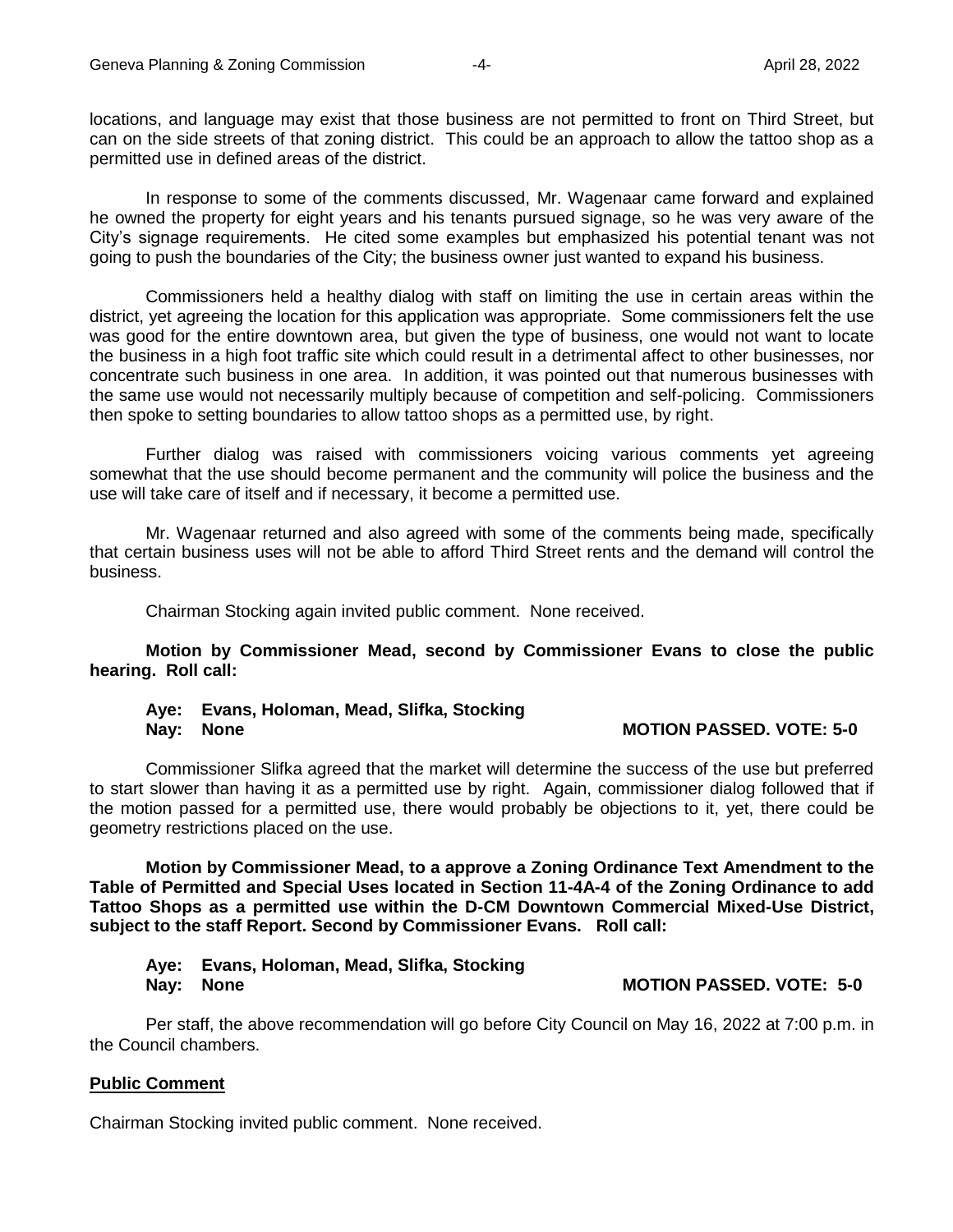locations, and language may exist that those business are not permitted to front on Third Street, but can on the side streets of that zoning district. This could be an approach to allow the tattoo shop as a permitted use in defined areas of the district.

In response to some of the comments discussed, Mr. Wagenaar came forward and explained he owned the property for eight years and his tenants pursued signage, so he was very aware of the City's signage requirements. He cited some examples but emphasized his potential tenant was not going to push the boundaries of the City; the business owner just wanted to expand his business.

Commissioners held a healthy dialog with staff on limiting the use in certain areas within the district, yet agreeing the location for this application was appropriate. Some commissioners felt the use was good for the entire downtown area, but given the type of business, one would not want to locate the business in a high foot traffic site which could result in a detrimental affect to other businesses, nor concentrate such business in one area. In addition, it was pointed out that numerous businesses with the same use would not necessarily multiply because of competition and self-policing. Commissioners then spoke to setting boundaries to allow tattoo shops as a permitted use, by right.

Further dialog was raised with commissioners voicing various comments yet agreeing somewhat that the use should become permanent and the community will police the business and the use will take care of itself and if necessary, it become a permitted use.

Mr. Wagenaar returned and also agreed with some of the comments being made, specifically that certain business uses will not be able to afford Third Street rents and the demand will control the business.

Chairman Stocking again invited public comment. None received.

**Motion by Commissioner Mead, second by Commissioner Evans to close the public hearing. Roll call:** 

## **Aye: Evans, Holoman, Mead, Slifka, Stocking Nay:** None **Nay:** None **Notice Reserves MOTION PASSED. VOTE:** 5-0

Commissioner Slifka agreed that the market will determine the success of the use but preferred to start slower than having it as a permitted use by right. Again, commissioner dialog followed that if the motion passed for a permitted use, there would probably be objections to it, yet, there could be geometry restrictions placed on the use.

**Motion by Commissioner Mead, to a approve a Zoning Ordinance Text Amendment to the Table of Permitted and Special Uses located in Section 11-4A-4 of the Zoning Ordinance to add Tattoo Shops as a permitted use within the D-CM Downtown Commercial Mixed-Use District, subject to the staff Report. Second by Commissioner Evans. Roll call:** 

# **Aye: Evans, Holoman, Mead, Slifka, Stocking Nay:** None **MOTION PASSED. VOTE: 5-0**

Per staff, the above recommendation will go before City Council on May 16, 2022 at 7:00 p.m. in the Council chambers.

## **Public Comment**

Chairman Stocking invited public comment. None received.